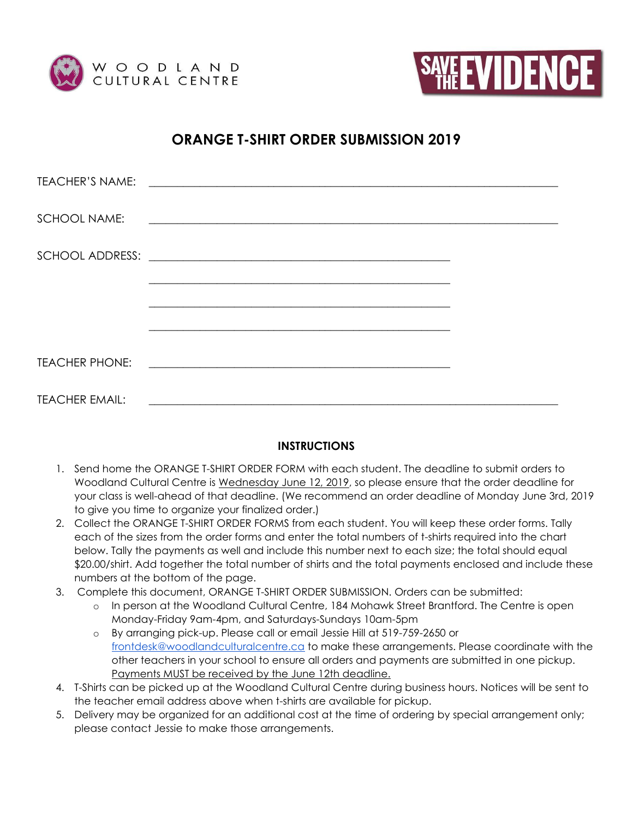



## **ORANGE T-SHIRT ORDER SUBMISSION 2019**

| <b>TEACHER'S NAME:</b> |                                                                                                                         |  |
|------------------------|-------------------------------------------------------------------------------------------------------------------------|--|
| <b>SCHOOL NAME:</b>    | <u> 1989 - Jan Alexandro Alexandro Alexandro Alexandro Alexandro Alexandro Alexandro Alexandro Alexandro Alexandro </u> |  |
|                        |                                                                                                                         |  |
|                        | <u> 1989 - Johann Stoff, amerikansk politiker (d. 1989)</u>                                                             |  |
|                        |                                                                                                                         |  |
| <b>TEACHER PHONE:</b>  | <u> 1980 - Jan Barnett, fransk politik (d. 1980)</u>                                                                    |  |
| <b>TEACHER EMAIL:</b>  | <u> 1989 - Jan Samuel Barbara, margaret eta idazlea (h. 1989).</u>                                                      |  |

## **INSTRUCTIONS**

- 1. Send home the ORANGE T-SHIRT ORDER FORM with each student. The deadline to submit orders to Woodland Cultural Centre is Wednesday June 12, 2019, so please ensure that the order deadline for your class is well-ahead of that deadline. (We recommend an order deadline of Monday June 3rd, 2019 to give you time to organize your finalized order.)
- 2. Collect the ORANGE T-SHIRT ORDER FORMS from each student. You will keep these order forms. Tally each of the sizes from the order forms and enter the total numbers of t-shirts required into the chart below. Tally the payments as well and include this number next to each size; the total should equal \$20.00/shirt. Add together the total number of shirts and the total payments enclosed and include these numbers at the bottom of the page.
- 3. Complete this document, ORANGE T-SHIRT ORDER SUBMISSION. Orders can be submitted:
	- o In person at the Woodland Cultural Centre, 184 Mohawk Street Brantford. The Centre is open Monday-Friday 9am-4pm, and Saturdays-Sundays 10am-5pm
	- o By arranging pick-up. Please call or email Jessie Hill at 519-759-2650 or [frontdesk@woodlandculturalcentre.ca](mailto:frontdesk@woodlandculturalcentre.ca) to make these arrangements. Please coordinate with the other teachers in your school to ensure all orders and payments are submitted in one pickup. Payments MUST be received by the June 12th deadline.
- 4. T-Shirts can be picked up at the Woodland Cultural Centre during business hours. Notices will be sent to the teacher email address above when t-shirts are available for pickup.
- 5. Delivery may be organized for an additional cost at the time of ordering by special arrangement only; please contact Jessie to make those arrangements.